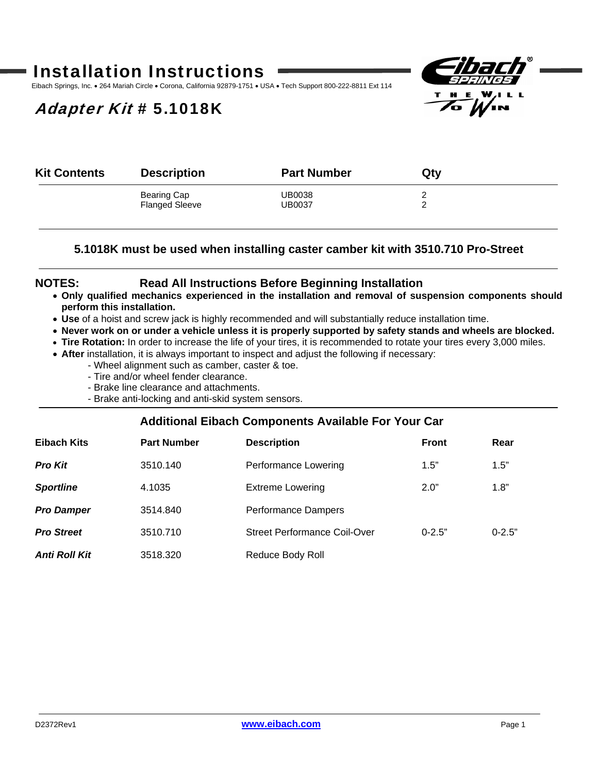# Installation Instructions

Eibach Springs, Inc. • 264 Mariah Circle • Corona, California 92879-1751 • USA • Tech Support 800-222-8811 Ext 114

## Adapter Kit # 5.1018K



| <b>Kit Contents</b> | <b>Description</b>    | <b>Part Number</b> | Qty |  |
|---------------------|-----------------------|--------------------|-----|--|
|                     | Bearing Cap           | UB0038             |     |  |
|                     | <b>Flanged Sleeve</b> | UB0037             |     |  |
|                     |                       |                    |     |  |

### **5.1018K must be used when installing caster camber kit with 3510.710 Pro-Street**

### **NOTES: Read All Instructions Before Beginning Installation**

- **Only qualified mechanics experienced in the installation and removal of suspension components should perform this installation.**
- **Use** of a hoist and screw jack is highly recommended and will substantially reduce installation time.
- **Never work on or under a vehicle unless it is properly supported by safety stands and wheels are blocked.**
- **Tire Rotation:** In order to increase the life of your tires, it is recommended to rotate your tires every 3,000 miles.
- **After** installation, it is always important to inspect and adjust the following if necessary:
	- Wheel alignment such as camber, caster & toe.
		- Tire and/or wheel fender clearance.
		- Brake line clearance and attachments.
	- Brake anti-locking and anti-skid system sensors.

### **Additional Eibach Components Available For Your Car**

| Eibach Kits          | <b>Part Number</b> | <b>Description</b>           | <b>Front</b> | Rear       |
|----------------------|--------------------|------------------------------|--------------|------------|
| <b>Pro Kit</b>       | 3510.140           | Performance Lowering         | 1.5"         | 1.5"       |
| <b>Sportline</b>     | 4.1035             | <b>Extreme Lowering</b>      | 2.0"         | 1.8"       |
| <b>Pro Damper</b>    | 3514.840           | <b>Performance Dampers</b>   |              |            |
| <b>Pro Street</b>    | 3510.710           | Street Performance Coil-Over | $0 - 2.5"$   | $0 - 2.5"$ |
| <b>Anti Roll Kit</b> | 3518.320           | Reduce Body Roll             |              |            |